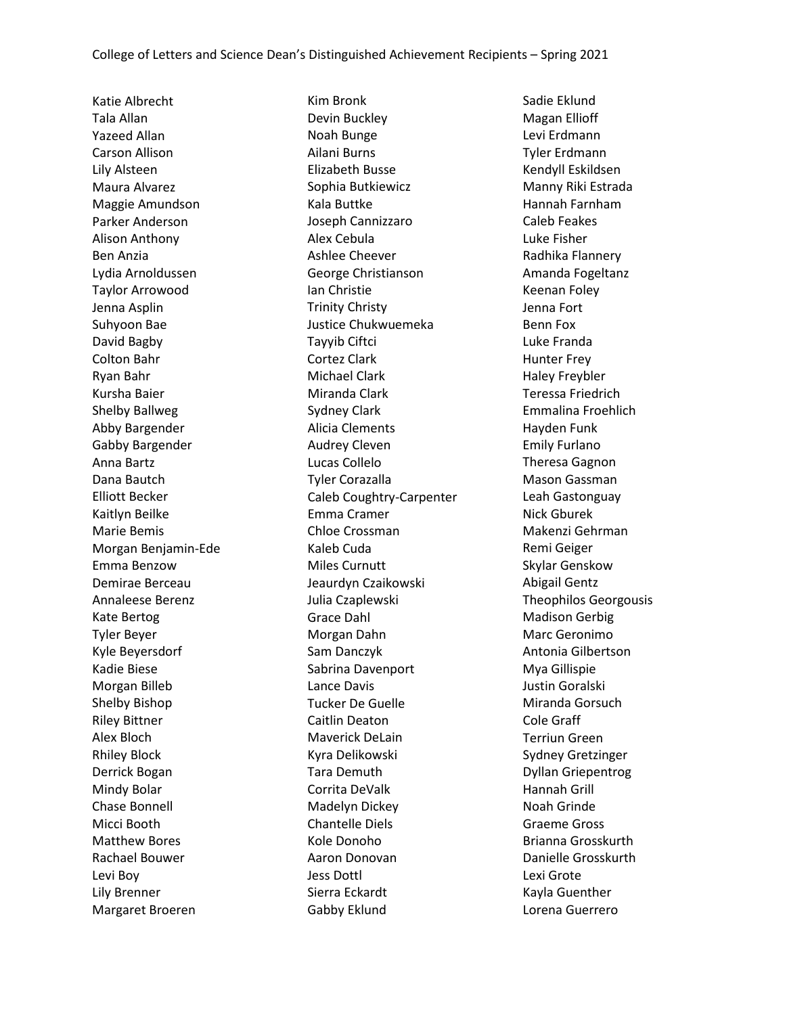Katie Albrecht Tala Allan Yazeed Allan Carson Allison Lily Alsteen Maura Alvarez Maggie Amundson Parker Anderson Alison Anthony Ben Anzia Lydia Arnoldussen Taylor Arrowood Jenna Asplin Suhyoon Bae David Bagby Colton Bahr Ryan Bahr Kursha Baier Shelby Ballweg Abby Bargender Gabby Bargender Anna Bartz Dana Bautch Elliott Becker Kaitlyn Beilke Marie Bemis Morgan Benjamin-Ede Emma Benzow Demirae Berceau Annaleese Berenz Kate Bertog Tyler Beyer Kyle Beyersdorf Kadie Biese Morgan Billeb Shelby Bishop Riley Bittner Alex Bloch Rhiley Block Derrick Bogan Mindy Bolar Chase Bonnell Micci Booth Matthew Bores Rachael Bouwer Levi Boy Lily Brenner Margaret Broeren

Kim Bronk Devin Buckley Noah Bunge Ailani Burns Elizabeth Busse Sophia Butkiewicz Kala Buttke Joseph Cannizzaro Alex Cebula Ashlee Cheever George Christianson Ian Christie Trinity Christy Justice Chukwuemeka Tayyib Ciftci Cortez Clark Michael Clark Miranda Clark Sydney Clark Alicia Clements Audrey Cleven Lucas Collelo Tyler Corazalla Caleb Coughtry-Carpenter Emma Cramer Chloe Crossman Kaleb Cuda Miles Curnutt Jeaurdyn Czaikowski Julia Czaplewski Grace Dahl Morgan Dahn Sam Danczyk Sabrina Davenport Lance Davis Tucker De Guelle Caitlin Deaton Maverick DeLain Kyra Delikowski Tara Demuth Corrita DeValk Madelyn Dickey Chantelle Diels Kole Donoho Aaron Donovan Jess Dottl Sierra Eckardt Gabby Eklund

Sadie Eklund Magan Ellioff Levi Erdmann Tyler Erdmann Kendyll Eskildsen Manny Riki Estrada Hannah Farnham Caleb Feakes Luke Fisher Radhika Flannery Amanda Fogeltanz Keenan Foley Jenna Fort Benn Fox Luke Franda Hunter Frey Haley Freybler Teressa Friedrich Emmalina Froehlich Hayden Funk Emily Furlano Theresa Gagnon Mason Gassman Leah Gastonguay Nick Gburek Makenzi Gehrman Remi Geiger Skylar Genskow Abigail Gentz Theophilos Georgousis Madison Gerbig Marc Geronimo Antonia Gilbertson Mya Gillispie Justin Goralski Miranda Gorsuch Cole Graff Terriun Green Sydney Gretzinger Dyllan Griepentrog Hannah Grill Noah Grinde Graeme Gross Brianna Grosskurth Danielle Grosskurth Lexi Grote Kayla Guenther Lorena Guerrero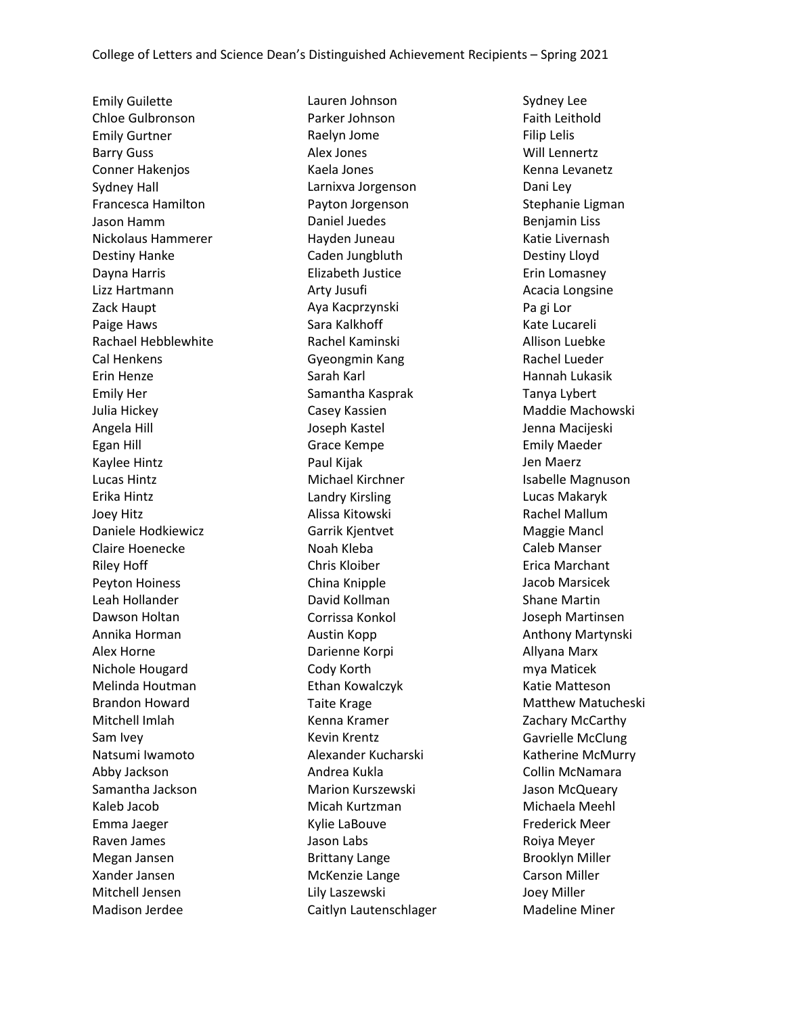Emily Guilette Chloe Gulbronson Emily Gurtner Barry Guss Conner Hakenjos Sydney Hall Francesca Hamilton Jason Hamm Nickolaus Hammerer Destiny Hanke Dayna Harris Lizz Hartmann Zack Haupt Paige Haws Rachael Hebblewhite Cal Henkens Erin Henze Emily Her Julia Hickey Angela Hill Egan Hill Kaylee Hintz Lucas Hintz Erika Hintz Joey Hitz Daniele Hodkiewicz Claire Hoenecke Riley Hoff Peyton Hoiness Leah Hollander Dawson Holtan Annika Horman Alex Horne Nichole Hougard Melinda Houtman Brandon Howard Mitchell Imlah Sam Ivey Natsumi Iwamoto Abby Jackson Samantha Jackson Kaleb Jacob Emma Jaeger Raven James Megan Jansen Xander Jansen Mitchell Jensen Madison Jerdee

Lauren Johnson Parker Johnson Raelyn Jome Alex Jones Kaela Jones Larnixva Jorgenson Payton Jorgenson Daniel Juedes Hayden Juneau Caden Jungbluth Elizabeth Justice Arty Jusufi Aya Kacprzynski Sara Kalkhoff Rachel Kaminski Gyeongmin Kang Sarah Karl Samantha Kasprak Casey Kassien Joseph Kastel Grace Kempe Paul Kijak Michael Kirchner Landry Kirsling Alissa Kitowski Garrik Kjentvet Noah Kleba Chris Kloiber China Knipple David Kollman Corrissa Konkol Austin Kopp Darienne Korpi Cody Korth Ethan Kowalczyk Taite Krage Kenna Kramer Kevin Krentz Alexander Kucharski Andrea Kukla Marion Kurszewski Micah Kurtzman Kylie LaBouve Jason Labs Brittany Lange McKenzie Lange Lily Laszewski Caitlyn Lautenschlager

Sydney Lee Faith Leithold Filip Lelis Will Lennertz Kenna Levanetz Dani Ley Stephanie Ligman Benjamin Liss Katie Livernash Destiny Lloyd Erin Lomasney Acacia Longsine Pa gi Lor Kate Lucareli Allison Luebke Rachel Lueder Hannah Lukasik Tanya Lybert Maddie Machowski Jenna Macijeski Emily Maeder Jen Maerz Isabelle Magnuson Lucas Makaryk Rachel Mallum Maggie Mancl Caleb Manser Erica Marchant Jacob Marsicek Shane Martin Joseph Martinsen Anthony Martynski Allyana Marx mya Maticek Katie Matteson Matthew Matucheski Zachary McCarthy Gavrielle McClung Katherine McMurry Collin McNamara Jason McQueary Michaela Meehl Frederick Meer Roiya Meyer Brooklyn Miller Carson Miller Joey Miller Madeline Miner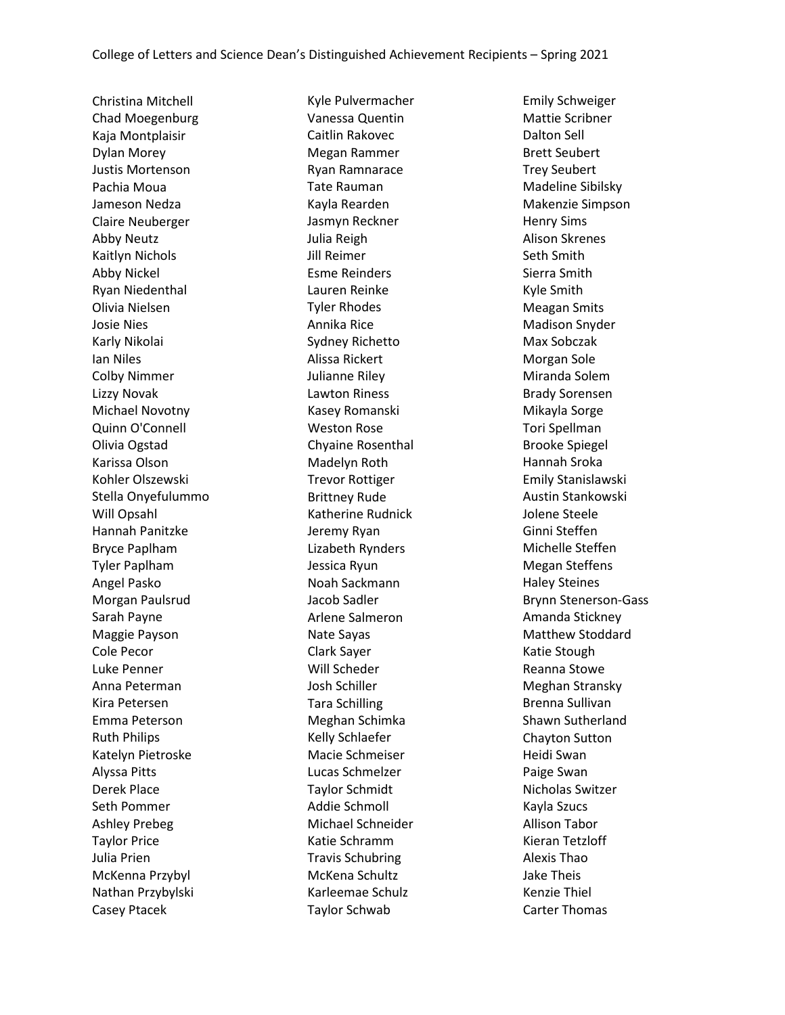Christina Mitchell Chad Moegenburg Kaja Montplaisir Dylan Morey Justis Mortenson Pachia Moua Jameson Nedza Claire Neuberger Abby Neutz Kaitlyn Nichols Abby Nickel Ryan Niedenthal Olivia Nielsen Josie Nies Karly Nikolai Ian Niles Colby Nimmer Lizzy Novak Michael Novotny Quinn O'Connell Olivia Ogstad Karissa Olson Kohler Olszewski Stella Onyefulummo Will Opsahl Hannah Panitzke Bryce Paplham Tyler Paplham Angel Pasko Morgan Paulsrud Sarah Payne Maggie Payson Cole Pecor Luke Penner Anna Peterman Kira Petersen Emma Peterson Ruth Philips Katelyn Pietroske Alyssa Pitts Derek Place Seth Pommer Ashley Prebeg Taylor Price Julia Prien McKenna Przybyl Nathan Przybylski Casey Ptacek

Kyle Pulvermacher Vanessa Quentin Caitlin Rakovec Megan Rammer Ryan Ramnarace Tate Rauman Kayla Rearden Jasmyn Reckner Julia Reigh Jill Reimer Esme Reinders Lauren Reinke Tyler Rhodes Annika Rice Sydney Richetto Alissa Rickert Julianne Riley Lawton Riness Kasey Romanski Weston Rose Chyaine Rosenthal Madelyn Roth Trevor Rottiger Brittney Rude Katherine Rudnick Jeremy Ryan Lizabeth Rynders Jessica Ryun Noah Sackmann Jacob Sadler Arlene Salmeron Nate Sayas Clark Sayer Will Scheder Josh Schiller Tara Schilling Meghan Schimka Kelly Schlaefer Macie Schmeiser Lucas Schmelzer Taylor Schmidt Addie Schmoll Michael Schneider Katie Schramm Travis Schubring McKena Schultz Karleemae Schulz Taylor Schwab

Emily Schweiger Mattie Scribner Dalton Sell Brett Seubert Trey Seubert Madeline Sibilsky Makenzie Simpson Henry Sims Alison Skrenes Seth Smith Sierra Smith Kyle Smith Meagan Smits Madison Snyder Max Sobczak Morgan Sole Miranda Solem Brady Sorensen Mikayla Sorge Tori Spellman Brooke Spiegel Hannah Sroka Emily Stanislawski Austin Stankowski Jolene Steele Ginni Steffen Michelle Steffen Megan Steffens Haley Steines Brynn Stenerson-Gass Amanda Stickney Matthew Stoddard Katie Stough Reanna Stowe Meghan Stransky Brenna Sullivan Shawn Sutherland Chayton Sutton Heidi Swan Paige Swan Nicholas Switzer Kayla Szucs Allison Tabor Kieran Tetzloff Alexis Thao Jake Theis Kenzie Thiel Carter Thomas